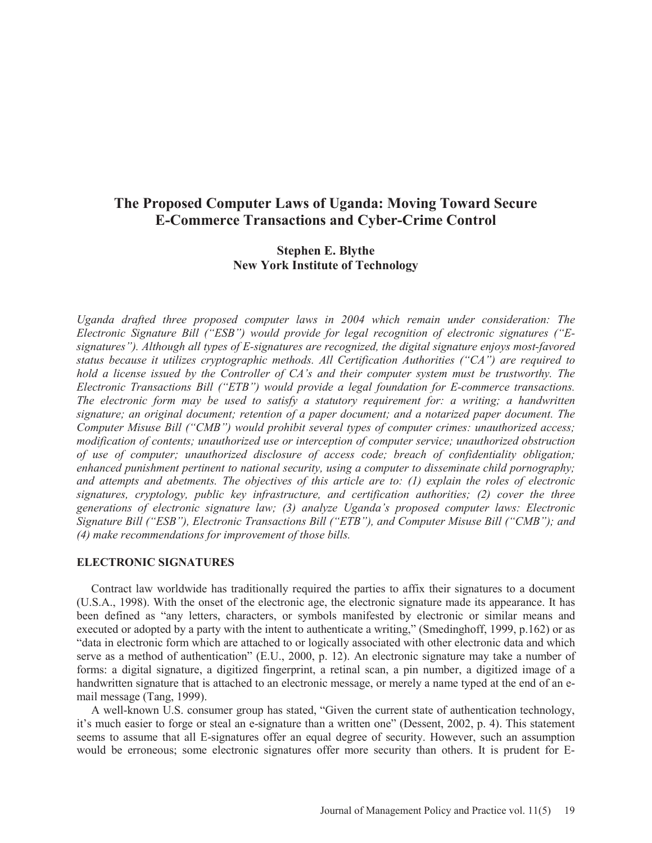# **The Proposed Computer Laws of Uganda: Moving Toward Secure E-Commerce Transactions and Cyber-Crime Control**

# **Stephen E. Blythe New York Institute of Technology**

*Uganda drafted three proposed computer laws in 2004 which remain under consideration: The Electronic Signature Bill ("ESB") would provide for legal recognition of electronic signatures ("Esignatures"). Although all types of E-signatures are recognized, the digital signature enjoys most-favored status because it utilizes cryptographic methods. All Certification Authorities ("CA") are required to hold a license issued by the Controller of CA's and their computer system must be trustworthy. The Electronic Transactions Bill ("ETB") would provide a legal foundation for E-commerce transactions. The electronic form may be used to satisfy a statutory requirement for: a writing; a handwritten signature; an original document; retention of a paper document; and a notarized paper document. The Computer Misuse Bill ("CMB") would prohibit several types of computer crimes: unauthorized access; modification of contents; unauthorized use or interception of computer service; unauthorized obstruction of use of computer; unauthorized disclosure of access code; breach of confidentiality obligation; enhanced punishment pertinent to national security, using a computer to disseminate child pornography; and attempts and abetments. The objectives of this article are to: (1) explain the roles of electronic signatures, cryptology, public key infrastructure, and certification authorities; (2) cover the three generations of electronic signature law; (3) analyze Uganda's proposed computer laws: Electronic Signature Bill ("ESB"), Electronic Transactions Bill ("ETB"), and Computer Misuse Bill ("CMB"); and (4) make recommendations for improvement of those bills.* 

### **ELECTRONIC SIGNATURES**

 Contract law worldwide has traditionally required the parties to affix their signatures to a document (U.S.A., 1998). With the onset of the electronic age, the electronic signature made its appearance. It has been defined as "any letters, characters, or symbols manifested by electronic or similar means and executed or adopted by a party with the intent to authenticate a writing," (Smedinghoff, 1999, p.162) or as "data in electronic form which are attached to or logically associated with other electronic data and which serve as a method of authentication" (E.U., 2000, p. 12). An electronic signature may take a number of forms: a digital signature, a digitized fingerprint, a retinal scan, a pin number, a digitized image of a handwritten signature that is attached to an electronic message, or merely a name typed at the end of an email message (Tang, 1999).

 A well-known U.S. consumer group has stated, "Given the current state of authentication technology, it's much easier to forge or steal an e-signature than a written one" (Dessent, 2002, p. 4). This statement seems to assume that all E-signatures offer an equal degree of security. However, such an assumption would be erroneous; some electronic signatures offer more security than others. It is prudent for E-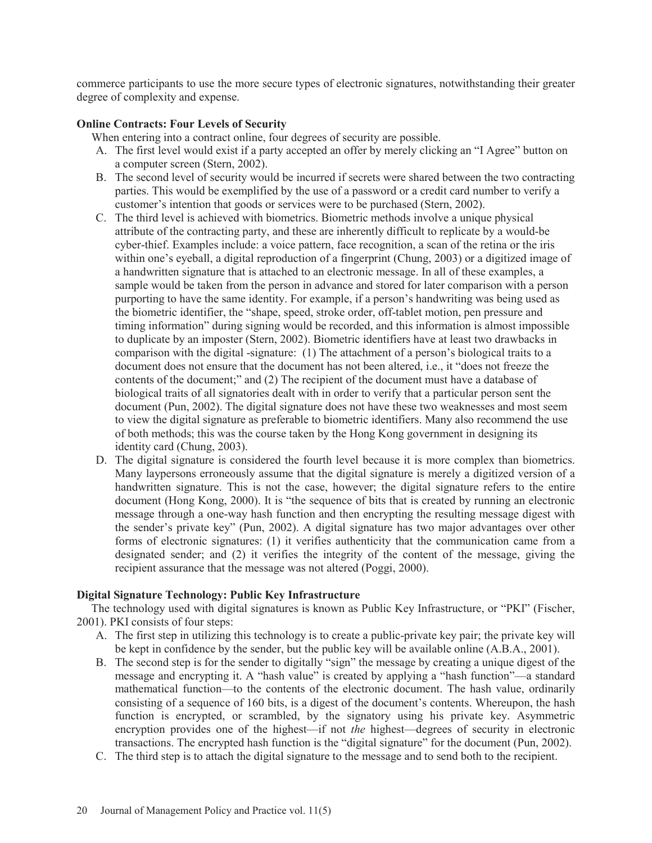commerce participants to use the more secure types of electronic signatures, notwithstanding their greater degree of complexity and expense.

# **Online Contracts: Four Levels of Security**

When entering into a contract online, four degrees of security are possible.

- A. The first level would exist if a party accepted an offer by merely clicking an "I Agree" button on a computer screen (Stern, 2002).
- B. The second level of security would be incurred if secrets were shared between the two contracting parties. This would be exemplified by the use of a password or a credit card number to verify a customer's intention that goods or services were to be purchased (Stern, 2002).
- C. The third level is achieved with biometrics. Biometric methods involve a unique physical attribute of the contracting party, and these are inherently difficult to replicate by a would-be cyber-thief. Examples include: a voice pattern, face recognition, a scan of the retina or the iris within one's eyeball, a digital reproduction of a fingerprint (Chung, 2003) or a digitized image of a handwritten signature that is attached to an electronic message. In all of these examples, a sample would be taken from the person in advance and stored for later comparison with a person purporting to have the same identity. For example, if a person's handwriting was being used as the biometric identifier, the "shape, speed, stroke order, off-tablet motion, pen pressure and timing information" during signing would be recorded, and this information is almost impossible to duplicate by an imposter (Stern, 2002). Biometric identifiers have at least two drawbacks in comparison with the digital -signature: (1) The attachment of a person's biological traits to a document does not ensure that the document has not been altered, i.e., it "does not freeze the contents of the document;" and (2) The recipient of the document must have a database of biological traits of all signatories dealt with in order to verify that a particular person sent the document (Pun, 2002). The digital signature does not have these two weaknesses and most seem to view the digital signature as preferable to biometric identifiers. Many also recommend the use of both methods; this was the course taken by the Hong Kong government in designing its identity card (Chung, 2003).
- D. The digital signature is considered the fourth level because it is more complex than biometrics. Many laypersons erroneously assume that the digital signature is merely a digitized version of a handwritten signature. This is not the case, however; the digital signature refers to the entire document (Hong Kong, 2000). It is "the sequence of bits that is created by running an electronic message through a one-way hash function and then encrypting the resulting message digest with the sender's private key" (Pun, 2002). A digital signature has two major advantages over other forms of electronic signatures: (1) it verifies authenticity that the communication came from a designated sender; and (2) it verifies the integrity of the content of the message, giving the recipient assurance that the message was not altered (Poggi, 2000).

# **Digital Signature Technology: Public Key Infrastructure**

 The technology used with digital signatures is known as Public Key Infrastructure, or "PKI" (Fischer, 2001). PKI consists of four steps:

- A. The first step in utilizing this technology is to create a public-private key pair; the private key will be kept in confidence by the sender, but the public key will be available online (A.B.A., 2001).
- B. The second step is for the sender to digitally "sign" the message by creating a unique digest of the message and encrypting it. A "hash value" is created by applying a "hash function"—a standard mathematical function—to the contents of the electronic document. The hash value, ordinarily consisting of a sequence of 160 bits, is a digest of the document's contents. Whereupon, the hash function is encrypted, or scrambled, by the signatory using his private key. Asymmetric encryption provides one of the highest—if not *the* highest—degrees of security in electronic transactions. The encrypted hash function is the "digital signature" for the document (Pun, 2002).
- C. The third step is to attach the digital signature to the message and to send both to the recipient.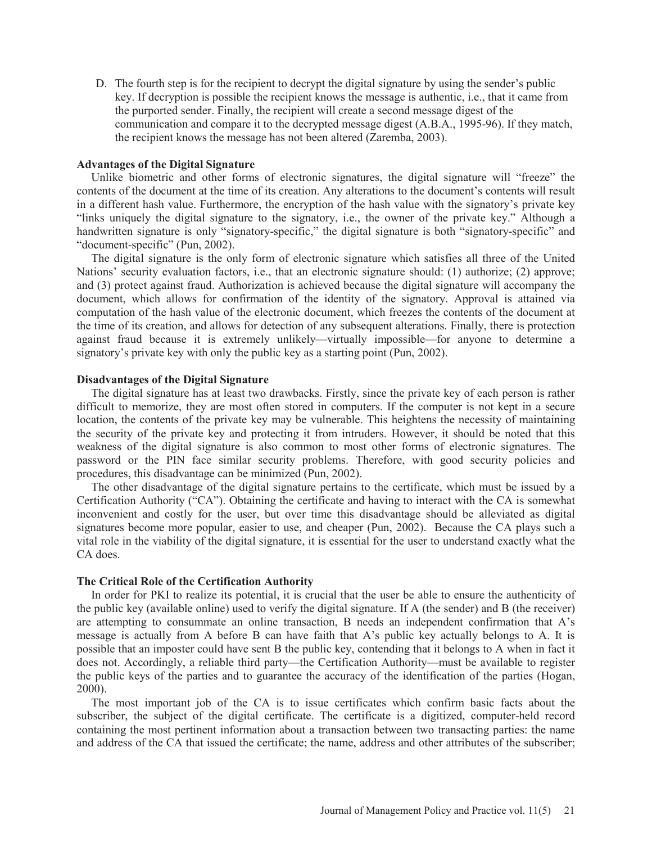D. The fourth step is for the recipient to decrypt the digital signature by using the sender's public key. If decryption is possible the recipient knows the message is authentic, i.e., that it came from the purported sender. Finally, the recipient will create a second message digest of the communication and compare it to the decrypted message digest (A.B.A., 1995-96). If they match, the recipient knows the message has not been altered (Zaremba, 2003).

## **Advantages of the Digital Signature**

 Unlike biometric and other forms of electronic signatures, the digital signature will "freeze" the contents of the document at the time of its creation. Any alterations to the document's contents will result in a different hash value. Furthermore, the encryption of the hash value with the signatory's private key "links uniquely the digital signature to the signatory, i.e., the owner of the private key." Although a handwritten signature is only "signatory-specific," the digital signature is both "signatory-specific" and "document-specific" (Pun, 2002).

 The digital signature is the only form of electronic signature which satisfies all three of the United Nations' security evaluation factors, i.e., that an electronic signature should: (1) authorize; (2) approve; and (3) protect against fraud. Authorization is achieved because the digital signature will accompany the document, which allows for confirmation of the identity of the signatory. Approval is attained via computation of the hash value of the electronic document, which freezes the contents of the document at the time of its creation, and allows for detection of any subsequent alterations. Finally, there is protection against fraud because it is extremely unlikely—virtually impossible—for anyone to determine a signatory's private key with only the public key as a starting point (Pun, 2002).

# **Disadvantages of the Digital Signature**

 The digital signature has at least two drawbacks. Firstly, since the private key of each person is rather difficult to memorize, they are most often stored in computers. If the computer is not kept in a secure location, the contents of the private key may be vulnerable. This heightens the necessity of maintaining the security of the private key and protecting it from intruders. However, it should be noted that this weakness of the digital signature is also common to most other forms of electronic signatures. The password or the PIN face similar security problems. Therefore, with good security policies and procedures, this disadvantage can be minimized (Pun, 2002).

 The other disadvantage of the digital signature pertains to the certificate, which must be issued by a Certification Authority ("CA"). Obtaining the certificate and having to interact with the CA is somewhat inconvenient and costly for the user, but over time this disadvantage should be alleviated as digital signatures become more popular, easier to use, and cheaper (Pun, 2002). Because the CA plays such a vital role in the viability of the digital signature, it is essential for the user to understand exactly what the CA does.

#### **The Critical Role of the Certification Authority**

 In order for PKI to realize its potential, it is crucial that the user be able to ensure the authenticity of the public key (available online) used to verify the digital signature. If A (the sender) and B (the receiver) are attempting to consummate an online transaction, B needs an independent confirmation that A's message is actually from A before B can have faith that A's public key actually belongs to A. It is possible that an imposter could have sent B the public key, contending that it belongs to A when in fact it does not. Accordingly, a reliable third party—the Certification Authority—must be available to register the public keys of the parties and to guarantee the accuracy of the identification of the parties (Hogan, 2000).

 The most important job of the CA is to issue certificates which confirm basic facts about the subscriber, the subject of the digital certificate. The certificate is a digitized, computer-held record containing the most pertinent information about a transaction between two transacting parties: the name and address of the CA that issued the certificate; the name, address and other attributes of the subscriber;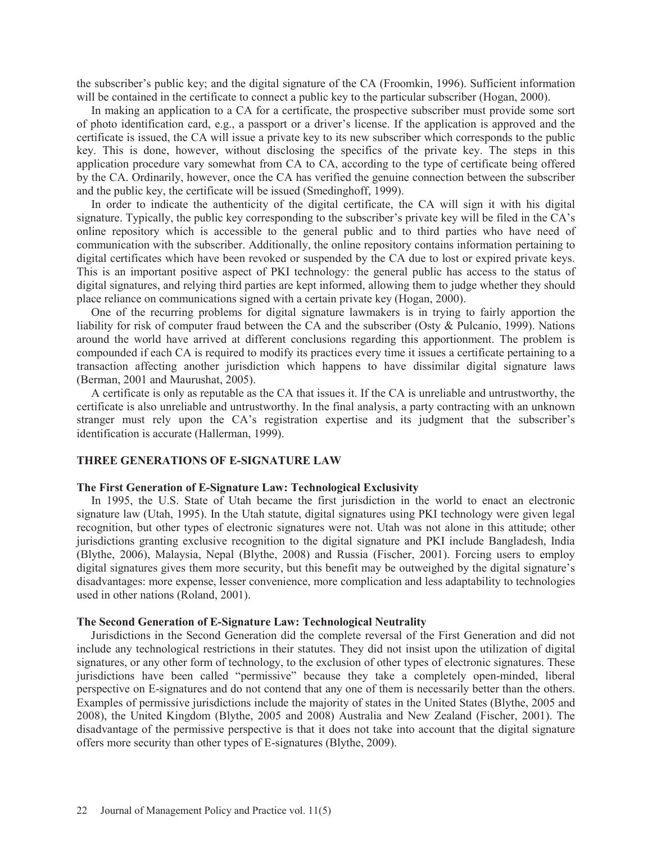the subscriber's public key; and the digital signature of the CA (Froomkin, 1996). Sufficient information will be contained in the certificate to connect a public key to the particular subscriber (Hogan, 2000).

 In making an application to a CA for a certificate, the prospective subscriber must provide some sort of photo identification card, e.g., a passport or a driver's license. If the application is approved and the certificate is issued, the CA will issue a private key to its new subscriber which corresponds to the public key. This is done, however, without disclosing the specifics of the private key. The steps in this application procedure vary somewhat from CA to CA, according to the type of certificate being offered by the CA. Ordinarily, however, once the CA has verified the genuine connection between the subscriber and the public key, the certificate will be issued (Smedinghoff, 1999).

 In order to indicate the authenticity of the digital certificate, the CA will sign it with his digital signature. Typically, the public key corresponding to the subscriber's private key will be filed in the CA's online repository which is accessible to the general public and to third parties who have need of communication with the subscriber. Additionally, the online repository contains information pertaining to digital certificates which have been revoked or suspended by the CA due to lost or expired private keys. This is an important positive aspect of PKI technology: the general public has access to the status of digital signatures, and relying third parties are kept informed, allowing them to judge whether they should place reliance on communications signed with a certain private key (Hogan, 2000).

 One of the recurring problems for digital signature lawmakers is in trying to fairly apportion the liability for risk of computer fraud between the CA and the subscriber (Osty & Pulcanio, 1999). Nations around the world have arrived at different conclusions regarding this apportionment. The problem is compounded if each CA is required to modify its practices every time it issues a certificate pertaining to a transaction affecting another jurisdiction which happens to have dissimilar digital signature laws (Berman, 2001 and Maurushat, 2005).

 A certificate is only as reputable as the CA that issues it. If the CA is unreliable and untrustworthy, the certificate is also unreliable and untrustworthy. In the final analysis, a party contracting with an unknown stranger must rely upon the CA's registration expertise and its judgment that the subscriber's identification is accurate (Hallerman, 1999).

#### **THREE GENERATIONS OF E-SIGNATURE LAW**

### **The First Generation of E-Signature Law: Technological Exclusivity**

 In 1995, the U.S. State of Utah became the first jurisdiction in the world to enact an electronic signature law (Utah, 1995). In the Utah statute, digital signatures using PKI technology were given legal recognition, but other types of electronic signatures were not. Utah was not alone in this attitude; other jurisdictions granting exclusive recognition to the digital signature and PKI include Bangladesh, India (Blythe, 2006), Malaysia, Nepal (Blythe, 2008) and Russia (Fischer, 2001). Forcing users to employ digital signatures gives them more security, but this benefit may be outweighed by the digital signature's disadvantages: more expense, lesser convenience, more complication and less adaptability to technologies used in other nations (Roland, 2001).

### **The Second Generation of E-Signature Law: Technological Neutrality**

 Jurisdictions in the Second Generation did the complete reversal of the First Generation and did not include any technological restrictions in their statutes. They did not insist upon the utilization of digital signatures, or any other form of technology, to the exclusion of other types of electronic signatures. These jurisdictions have been called "permissive" because they take a completely open-minded, liberal perspective on E-signatures and do not contend that any one of them is necessarily better than the others. Examples of permissive jurisdictions include the majority of states in the United States (Blythe, 2005 and 2008), the United Kingdom (Blythe, 2005 and 2008) Australia and New Zealand (Fischer, 2001). The disadvantage of the permissive perspective is that it does not take into account that the digital signature offers more security than other types of E-signatures (Blythe, 2009).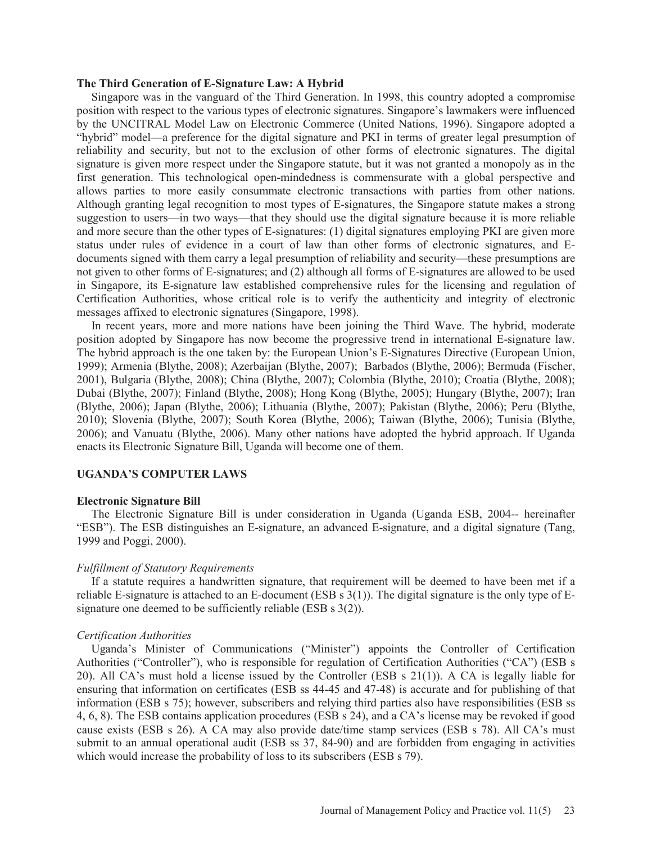#### **The Third Generation of E-Signature Law: A Hybrid**

 Singapore was in the vanguard of the Third Generation. In 1998, this country adopted a compromise position with respect to the various types of electronic signatures. Singapore's lawmakers were influenced by the UNCITRAL Model Law on Electronic Commerce (United Nations, 1996). Singapore adopted a "hybrid" model—a preference for the digital signature and PKI in terms of greater legal presumption of reliability and security, but not to the exclusion of other forms of electronic signatures. The digital signature is given more respect under the Singapore statute, but it was not granted a monopoly as in the first generation. This technological open-mindedness is commensurate with a global perspective and allows parties to more easily consummate electronic transactions with parties from other nations. Although granting legal recognition to most types of E-signatures, the Singapore statute makes a strong suggestion to users—in two ways—that they should use the digital signature because it is more reliable and more secure than the other types of E-signatures: (1) digital signatures employing PKI are given more status under rules of evidence in a court of law than other forms of electronic signatures, and Edocuments signed with them carry a legal presumption of reliability and security—these presumptions are not given to other forms of E-signatures; and (2) although all forms of E-signatures are allowed to be used in Singapore, its E-signature law established comprehensive rules for the licensing and regulation of Certification Authorities, whose critical role is to verify the authenticity and integrity of electronic messages affixed to electronic signatures (Singapore, 1998).

 In recent years, more and more nations have been joining the Third Wave. The hybrid, moderate position adopted by Singapore has now become the progressive trend in international E-signature law. The hybrid approach is the one taken by: the European Union's E-Signatures Directive (European Union, 1999); Armenia (Blythe, 2008); Azerbaijan (Blythe, 2007); Barbados (Blythe, 2006); Bermuda (Fischer, 2001), Bulgaria (Blythe, 2008); China (Blythe, 2007); Colombia (Blythe, 2010); Croatia (Blythe, 2008); Dubai (Blythe, 2007); Finland (Blythe, 2008); Hong Kong (Blythe, 2005); Hungary (Blythe, 2007); Iran (Blythe, 2006); Japan (Blythe, 2006); Lithuania (Blythe, 2007); Pakistan (Blythe, 2006); Peru (Blythe, 2010); Slovenia (Blythe, 2007); South Korea (Blythe, 2006); Taiwan (Blythe, 2006); Tunisia (Blythe, 2006); and Vanuatu (Blythe, 2006). Many other nations have adopted the hybrid approach. If Uganda enacts its Electronic Signature Bill, Uganda will become one of them.

### **UGANDA'S COMPUTER LAWS**

#### **Electronic Signature Bill**

 The Electronic Signature Bill is under consideration in Uganda (Uganda ESB, 2004-- hereinafter "ESB"). The ESB distinguishes an E-signature, an advanced E-signature, and a digital signature (Tang, 1999 and Poggi, 2000).

#### *Fulfillment of Statutory Requirements*

 If a statute requires a handwritten signature, that requirement will be deemed to have been met if a reliable E-signature is attached to an E-document (ESB s 3(1)). The digital signature is the only type of Esignature one deemed to be sufficiently reliable (ESB s 3(2)).

#### *Certification Authorities*

 Uganda's Minister of Communications ("Minister") appoints the Controller of Certification Authorities ("Controller"), who is responsible for regulation of Certification Authorities ("CA") (ESB s 20). All CA's must hold a license issued by the Controller (ESB s 21(1)). A CA is legally liable for ensuring that information on certificates (ESB ss 44-45 and 47-48) is accurate and for publishing of that information (ESB s 75); however, subscribers and relying third parties also have responsibilities (ESB ss 4, 6, 8). The ESB contains application procedures (ESB s 24), and a CA's license may be revoked if good cause exists (ESB s 26). A CA may also provide date/time stamp services (ESB s 78). All CA's must submit to an annual operational audit (ESB ss 37, 84-90) and are forbidden from engaging in activities which would increase the probability of loss to its subscribers (ESB s 79).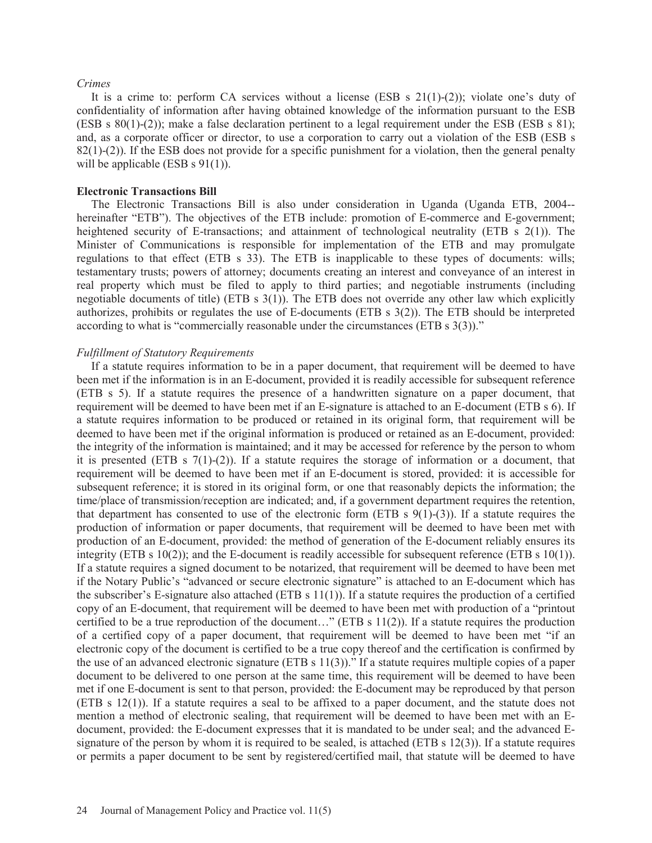### *Crimes*

It is a crime to: perform CA services without a license (ESB  $s$  21(1)-(2)); violate one's duty of confidentiality of information after having obtained knowledge of the information pursuant to the ESB (ESB s 80(1)-(2)); make a false declaration pertinent to a legal requirement under the ESB (ESB s 81); and, as a corporate officer or director, to use a corporation to carry out a violation of the ESB (ESB s  $82(1)-(2)$ ). If the ESB does not provide for a specific punishment for a violation, then the general penalty will be applicable (ESB s 91(1)).

#### **Electronic Transactions Bill**

 The Electronic Transactions Bill is also under consideration in Uganda (Uganda ETB, 2004- hereinafter "ETB"). The objectives of the ETB include: promotion of E-commerce and E-government; heightened security of E-transactions; and attainment of technological neutrality (ETB s 2(1)). The Minister of Communications is responsible for implementation of the ETB and may promulgate regulations to that effect (ETB s 33). The ETB is inapplicable to these types of documents: wills; testamentary trusts; powers of attorney; documents creating an interest and conveyance of an interest in real property which must be filed to apply to third parties; and negotiable instruments (including negotiable documents of title) (ETB s 3(1)). The ETB does not override any other law which explicitly authorizes, prohibits or regulates the use of E-documents (ETB  $\sigma$  3(2)). The ETB should be interpreted according to what is "commercially reasonable under the circumstances (ETB s 3(3))."

#### *Fulfillment of Statutory Requirements*

 If a statute requires information to be in a paper document, that requirement will be deemed to have been met if the information is in an E-document, provided it is readily accessible for subsequent reference (ETB s 5). If a statute requires the presence of a handwritten signature on a paper document, that requirement will be deemed to have been met if an E-signature is attached to an E-document (ETB s 6). If a statute requires information to be produced or retained in its original form, that requirement will be deemed to have been met if the original information is produced or retained as an E-document, provided: the integrity of the information is maintained; and it may be accessed for reference by the person to whom it is presented (ETB s  $7(1)-(2)$ ). If a statute requires the storage of information or a document, that requirement will be deemed to have been met if an E-document is stored, provided: it is accessible for subsequent reference; it is stored in its original form, or one that reasonably depicts the information; the time/place of transmission/reception are indicated; and, if a government department requires the retention, that department has consented to use of the electronic form (ETB  $\sigma$  9(1)-(3)). If a statute requires the production of information or paper documents, that requirement will be deemed to have been met with production of an E-document, provided: the method of generation of the E-document reliably ensures its integrity (ETB s 10(2)); and the E-document is readily accessible for subsequent reference (ETB s 10(1)). If a statute requires a signed document to be notarized, that requirement will be deemed to have been met if the Notary Public's "advanced or secure electronic signature" is attached to an E-document which has the subscriber's E-signature also attached (ETB s  $11(1)$ ). If a statute requires the production of a certified copy of an E-document, that requirement will be deemed to have been met with production of a "printout certified to be a true reproduction of the document..." (ETB s  $11(2)$ ). If a statute requires the production of a certified copy of a paper document, that requirement will be deemed to have been met "if an electronic copy of the document is certified to be a true copy thereof and the certification is confirmed by the use of an advanced electronic signature (ETB s 11(3))." If a statute requires multiple copies of a paper document to be delivered to one person at the same time, this requirement will be deemed to have been met if one E-document is sent to that person, provided: the E-document may be reproduced by that person (ETB s 12(1)). If a statute requires a seal to be affixed to a paper document, and the statute does not mention a method of electronic sealing, that requirement will be deemed to have been met with an Edocument, provided: the E-document expresses that it is mandated to be under seal; and the advanced Esignature of the person by whom it is required to be sealed, is attached (ETB s 12(3)). If a statute requires or permits a paper document to be sent by registered/certified mail, that statute will be deemed to have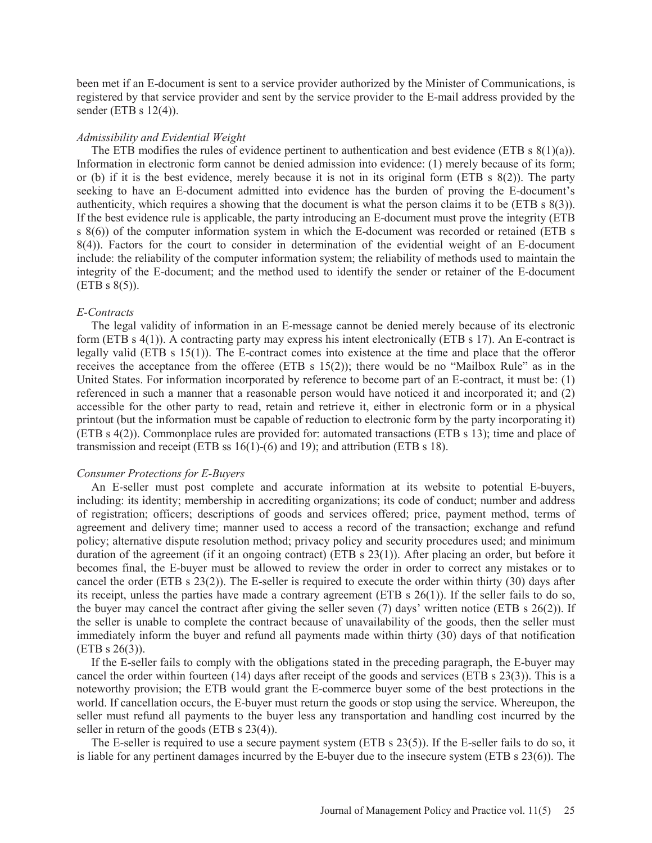been met if an E-document is sent to a service provider authorized by the Minister of Communications, is registered by that service provider and sent by the service provider to the E-mail address provided by the sender (ETB s 12(4)).

#### *Admissibility and Evidential Weight*

The ETB modifies the rules of evidence pertinent to authentication and best evidence (ETB  $\sigma$  8(1)(a)). Information in electronic form cannot be denied admission into evidence: (1) merely because of its form; or (b) if it is the best evidence, merely because it is not in its original form (ETB s 8(2)). The party seeking to have an E-document admitted into evidence has the burden of proving the E-document's authenticity, which requires a showing that the document is what the person claims it to be (ETB s 8(3)). If the best evidence rule is applicable, the party introducing an E-document must prove the integrity (ETB s 8(6)) of the computer information system in which the E-document was recorded or retained (ETB s 8(4)). Factors for the court to consider in determination of the evidential weight of an E-document include: the reliability of the computer information system; the reliability of methods used to maintain the integrity of the E-document; and the method used to identify the sender or retainer of the E-document  $(ETB s 8(5))$ .

#### *E-Contracts*

 The legal validity of information in an E-message cannot be denied merely because of its electronic form (ETB s 4(1)). A contracting party may express his intent electronically (ETB s 17). An E-contract is legally valid (ETB s 15(1)). The E-contract comes into existence at the time and place that the offeror receives the acceptance from the offeree (ETB s 15(2)); there would be no "Mailbox Rule" as in the United States. For information incorporated by reference to become part of an E-contract, it must be: (1) referenced in such a manner that a reasonable person would have noticed it and incorporated it; and (2) accessible for the other party to read, retain and retrieve it, either in electronic form or in a physical printout (but the information must be capable of reduction to electronic form by the party incorporating it) (ETB s 4(2)). Commonplace rules are provided for: automated transactions (ETB s 13); time and place of transmission and receipt (ETB ss 16(1)-(6) and 19); and attribution (ETB s 18).

# *Consumer Protections for E-Buyers*

 An E-seller must post complete and accurate information at its website to potential E-buyers, including: its identity; membership in accrediting organizations; its code of conduct; number and address of registration; officers; descriptions of goods and services offered; price, payment method, terms of agreement and delivery time; manner used to access a record of the transaction; exchange and refund policy; alternative dispute resolution method; privacy policy and security procedures used; and minimum duration of the agreement (if it an ongoing contract) (ETB s 23(1)). After placing an order, but before it becomes final, the E-buyer must be allowed to review the order in order to correct any mistakes or to cancel the order (ETB s 23(2)). The E-seller is required to execute the order within thirty (30) days after its receipt, unless the parties have made a contrary agreement (ETB s 26(1)). If the seller fails to do so, the buyer may cancel the contract after giving the seller seven (7) days' written notice (ETB s 26(2)). If the seller is unable to complete the contract because of unavailability of the goods, then the seller must immediately inform the buyer and refund all payments made within thirty (30) days of that notification (ETB s 26(3)).

 If the E-seller fails to comply with the obligations stated in the preceding paragraph, the E-buyer may cancel the order within fourteen (14) days after receipt of the goods and services (ETB s 23(3)). This is a noteworthy provision; the ETB would grant the E-commerce buyer some of the best protections in the world. If cancellation occurs, the E-buyer must return the goods or stop using the service. Whereupon, the seller must refund all payments to the buyer less any transportation and handling cost incurred by the seller in return of the goods (ETB s 23(4)).

 The E-seller is required to use a secure payment system (ETB s 23(5)). If the E-seller fails to do so, it is liable for any pertinent damages incurred by the E-buyer due to the insecure system (ETB s 23(6)). The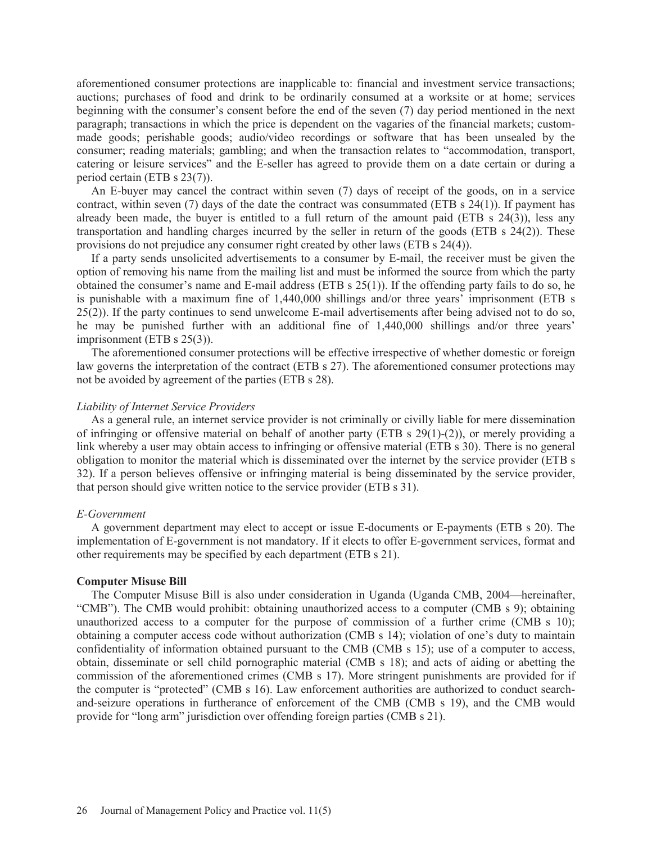aforementioned consumer protections are inapplicable to: financial and investment service transactions; auctions; purchases of food and drink to be ordinarily consumed at a worksite or at home; services beginning with the consumer's consent before the end of the seven (7) day period mentioned in the next paragraph; transactions in which the price is dependent on the vagaries of the financial markets; custommade goods; perishable goods; audio/video recordings or software that has been unsealed by the consumer; reading materials; gambling; and when the transaction relates to "accommodation, transport, catering or leisure services" and the E-seller has agreed to provide them on a date certain or during a period certain (ETB s 23(7)).

 An E-buyer may cancel the contract within seven (7) days of receipt of the goods, on in a service contract, within seven (7) days of the date the contract was consummated (ETB s 24(1)). If payment has already been made, the buyer is entitled to a full return of the amount paid (ETB s 24(3)), less any transportation and handling charges incurred by the seller in return of the goods (ETB s 24(2)). These provisions do not prejudice any consumer right created by other laws (ETB s 24(4)).

 If a party sends unsolicited advertisements to a consumer by E-mail, the receiver must be given the option of removing his name from the mailing list and must be informed the source from which the party obtained the consumer's name and E-mail address (ETB  $s$  25(1)). If the offending party fails to do so, he is punishable with a maximum fine of 1,440,000 shillings and/or three years' imprisonment (ETB s 25(2)). If the party continues to send unwelcome E-mail advertisements after being advised not to do so, he may be punished further with an additional fine of 1,440,000 shillings and/or three years' imprisonment (ETB s 25(3)).

 The aforementioned consumer protections will be effective irrespective of whether domestic or foreign law governs the interpretation of the contract (ETB s 27). The aforementioned consumer protections may not be avoided by agreement of the parties (ETB s 28).

#### *Liability of Internet Service Providers*

 As a general rule, an internet service provider is not criminally or civilly liable for mere dissemination of infringing or offensive material on behalf of another party (ETB s 29(1)-(2)), or merely providing a link whereby a user may obtain access to infringing or offensive material (ETB s 30). There is no general obligation to monitor the material which is disseminated over the internet by the service provider (ETB s 32). If a person believes offensive or infringing material is being disseminated by the service provider, that person should give written notice to the service provider (ETB s 31).

#### *E-Government*

 A government department may elect to accept or issue E-documents or E-payments (ETB s 20). The implementation of E-government is not mandatory. If it elects to offer E-government services, format and other requirements may be specified by each department (ETB s 21).

### **Computer Misuse Bill**

 The Computer Misuse Bill is also under consideration in Uganda (Uganda CMB, 2004—hereinafter, "CMB"). The CMB would prohibit: obtaining unauthorized access to a computer (CMB s 9); obtaining unauthorized access to a computer for the purpose of commission of a further crime (CMB s 10); obtaining a computer access code without authorization (CMB s 14); violation of one's duty to maintain confidentiality of information obtained pursuant to the CMB (CMB s 15); use of a computer to access, obtain, disseminate or sell child pornographic material (CMB s 18); and acts of aiding or abetting the commission of the aforementioned crimes (CMB s 17). More stringent punishments are provided for if the computer is "protected" (CMB s 16). Law enforcement authorities are authorized to conduct searchand-seizure operations in furtherance of enforcement of the CMB (CMB s 19), and the CMB would provide for "long arm" jurisdiction over offending foreign parties (CMB s 21).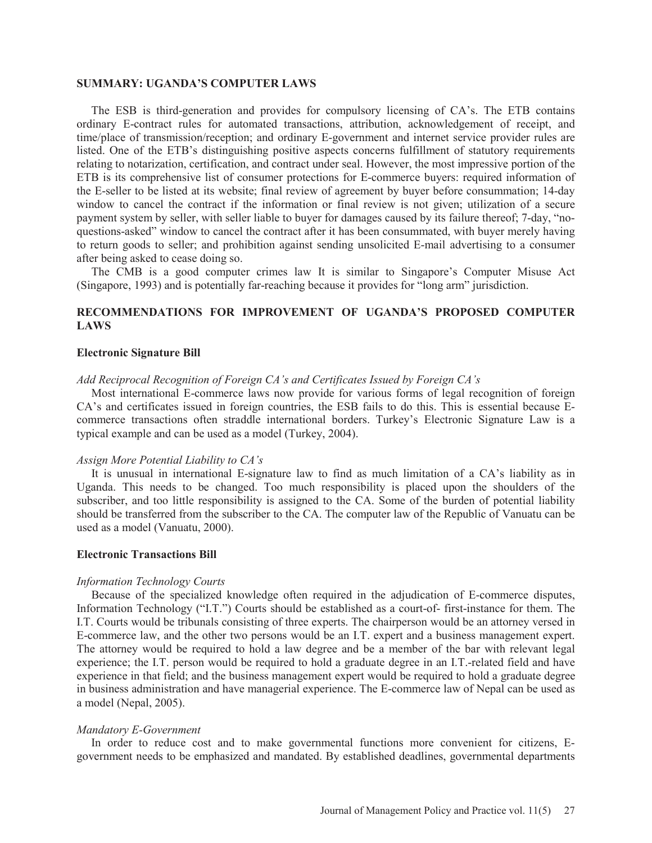#### **SUMMARY: UGANDA'S COMPUTER LAWS**

 The ESB is third-generation and provides for compulsory licensing of CA's. The ETB contains ordinary E-contract rules for automated transactions, attribution, acknowledgement of receipt, and time/place of transmission/reception; and ordinary E-government and internet service provider rules are listed. One of the ETB's distinguishing positive aspects concerns fulfillment of statutory requirements relating to notarization, certification, and contract under seal. However, the most impressive portion of the ETB is its comprehensive list of consumer protections for E-commerce buyers: required information of the E-seller to be listed at its website; final review of agreement by buyer before consummation; 14-day window to cancel the contract if the information or final review is not given; utilization of a secure payment system by seller, with seller liable to buyer for damages caused by its failure thereof; 7-day, "noquestions-asked" window to cancel the contract after it has been consummated, with buyer merely having to return goods to seller; and prohibition against sending unsolicited E-mail advertising to a consumer after being asked to cease doing so.

 The CMB is a good computer crimes law It is similar to Singapore's Computer Misuse Act (Singapore, 1993) and is potentially far-reaching because it provides for "long arm" jurisdiction.

# **RECOMMENDATIONS FOR IMPROVEMENT OF UGANDA'S PROPOSED COMPUTER LAWS**

#### **Electronic Signature Bill**

#### *Add Reciprocal Recognition of Foreign CA's and Certificates Issued by Foreign CA's*

 Most international E-commerce laws now provide for various forms of legal recognition of foreign CA's and certificates issued in foreign countries, the ESB fails to do this. This is essential because Ecommerce transactions often straddle international borders. Turkey's Electronic Signature Law is a typical example and can be used as a model (Turkey, 2004).

#### *Assign More Potential Liability to CA's*

 It is unusual in international E-signature law to find as much limitation of a CA's liability as in Uganda. This needs to be changed. Too much responsibility is placed upon the shoulders of the subscriber, and too little responsibility is assigned to the CA. Some of the burden of potential liability should be transferred from the subscriber to the CA. The computer law of the Republic of Vanuatu can be used as a model (Vanuatu, 2000).

#### **Electronic Transactions Bill**

#### *Information Technology Courts*

 Because of the specialized knowledge often required in the adjudication of E-commerce disputes, Information Technology ("I.T.") Courts should be established as a court-of- first-instance for them. The I.T. Courts would be tribunals consisting of three experts. The chairperson would be an attorney versed in E-commerce law, and the other two persons would be an I.T. expert and a business management expert. The attorney would be required to hold a law degree and be a member of the bar with relevant legal experience; the I.T. person would be required to hold a graduate degree in an I.T.-related field and have experience in that field; and the business management expert would be required to hold a graduate degree in business administration and have managerial experience. The E-commerce law of Nepal can be used as a model (Nepal, 2005).

#### *Mandatory E-Government*

 In order to reduce cost and to make governmental functions more convenient for citizens, Egovernment needs to be emphasized and mandated. By established deadlines, governmental departments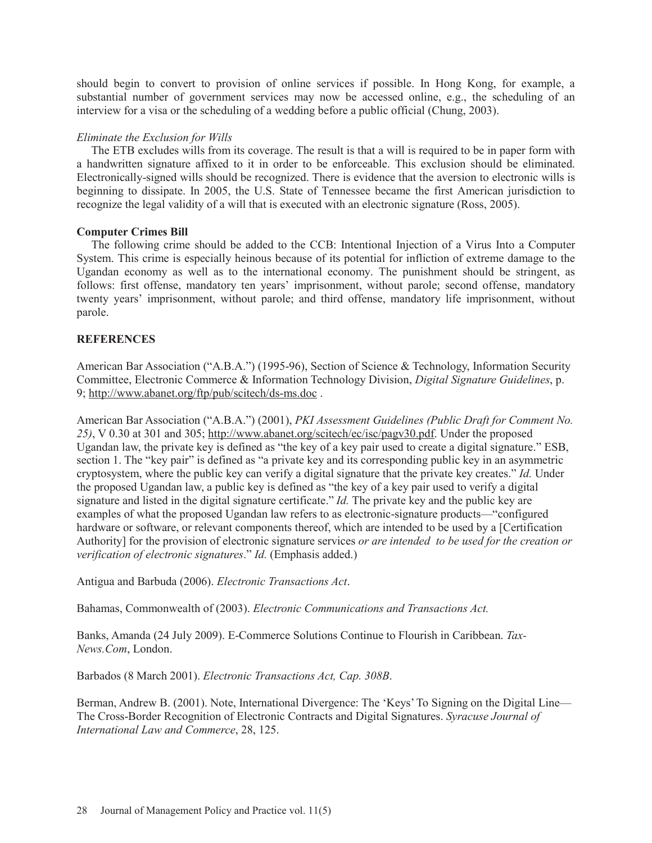should begin to convert to provision of online services if possible. In Hong Kong, for example, a substantial number of government services may now be accessed online, e.g., the scheduling of an interview for a visa or the scheduling of a wedding before a public official (Chung, 2003).

# *Eliminate the Exclusion for Wills*

 The ETB excludes wills from its coverage. The result is that a will is required to be in paper form with a handwritten signature affixed to it in order to be enforceable. This exclusion should be eliminated. Electronically-signed wills should be recognized. There is evidence that the aversion to electronic wills is beginning to dissipate. In 2005, the U.S. State of Tennessee became the first American jurisdiction to recognize the legal validity of a will that is executed with an electronic signature (Ross, 2005).

# **Computer Crimes Bill**

 The following crime should be added to the CCB: Intentional Injection of a Virus Into a Computer System. This crime is especially heinous because of its potential for infliction of extreme damage to the Ugandan economy as well as to the international economy. The punishment should be stringent, as follows: first offense, mandatory ten years' imprisonment, without parole; second offense, mandatory twenty years' imprisonment, without parole; and third offense, mandatory life imprisonment, without parole.

# **REFERENCES**

American Bar Association ("A.B.A.") (1995-96), Section of Science & Technology, Information Security Committee, Electronic Commerce & Information Technology Division, *Digital Signature Guidelines*, p. 9; http://www.abanet.org/ftp/pub/scitech/ds-ms.doc .

American Bar Association ("A.B.A.") (2001), *PKI Assessment Guidelines (Public Draft for Comment No. 25)*, V 0.30 at 301 and 305; http://www.abanet.org/scitech/ec/isc/pagv30.pdf. Under the proposed Ugandan law, the private key is defined as "the key of a key pair used to create a digital signature." ESB, section 1. The "key pair" is defined as "a private key and its corresponding public key in an asymmetric cryptosystem, where the public key can verify a digital signature that the private key creates." *Id.* Under the proposed Ugandan law, a public key is defined as "the key of a key pair used to verify a digital signature and listed in the digital signature certificate." *Id.* The private key and the public key are examples of what the proposed Ugandan law refers to as electronic-signature products—"configured hardware or software, or relevant components thereof, which are intended to be used by a [Certification Authority] for the provision of electronic signature services *or are intended to be used for the creation or verification of electronic signatures*." *Id.* (Emphasis added.)

Antigua and Barbuda (2006). *Electronic Transactions Act*.

Bahamas, Commonwealth of (2003). *Electronic Communications and Transactions Act.*

Banks, Amanda (24 July 2009). E-Commerce Solutions Continue to Flourish in Caribbean. *Tax-News.Com*, London.

Barbados (8 March 2001). *Electronic Transactions Act, Cap. 308B*.

Berman, Andrew B. (2001). Note, International Divergence: The 'Keys' To Signing on the Digital Line— The Cross-Border Recognition of Electronic Contracts and Digital Signatures. *Syracuse Journal of International Law and Commerce*, 28, 125.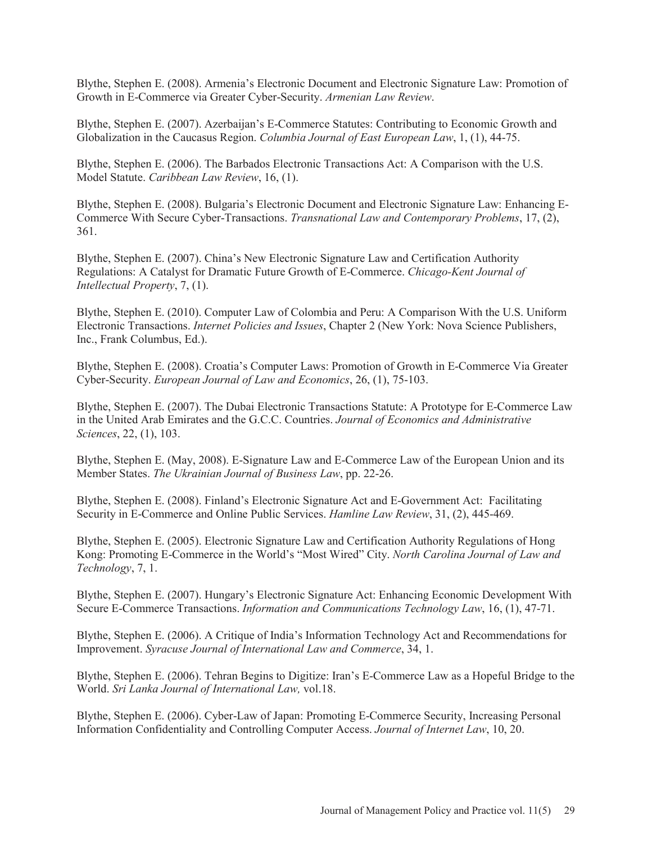Blythe, Stephen E. (2008). Armenia's Electronic Document and Electronic Signature Law: Promotion of Growth in E-Commerce via Greater Cyber-Security. *Armenian Law Review*.

Blythe, Stephen E. (2007). Azerbaijan's E-Commerce Statutes: Contributing to Economic Growth and Globalization in the Caucasus Region. *Columbia Journal of East European Law*, 1, (1), 44-75.

Blythe, Stephen E. (2006). The Barbados Electronic Transactions Act: A Comparison with the U.S. Model Statute. *Caribbean Law Review*, 16, (1).

Blythe, Stephen E. (2008). Bulgaria's Electronic Document and Electronic Signature Law: Enhancing E-Commerce With Secure Cyber-Transactions. *Transnational Law and Contemporary Problems*, 17, (2), 361.

Blythe, Stephen E. (2007). China's New Electronic Signature Law and Certification Authority Regulations: A Catalyst for Dramatic Future Growth of E-Commerce. *Chicago-Kent Journal of Intellectual Property*, 7, (1).

Blythe, Stephen E. (2010). Computer Law of Colombia and Peru: A Comparison With the U.S. Uniform Electronic Transactions. *Internet Policies and Issues*, Chapter 2 (New York: Nova Science Publishers, Inc., Frank Columbus, Ed.).

Blythe, Stephen E. (2008). Croatia's Computer Laws: Promotion of Growth in E-Commerce Via Greater Cyber-Security. *European Journal of Law and Economics*, 26, (1), 75-103.

Blythe, Stephen E. (2007). The Dubai Electronic Transactions Statute: A Prototype for E-Commerce Law in the United Arab Emirates and the G.C.C. Countries. *Journal of Economics and Administrative Sciences*, 22, (1), 103.

Blythe, Stephen E. (May, 2008). E-Signature Law and E-Commerce Law of the European Union and its Member States. *The Ukrainian Journal of Business Law*, pp. 22-26.

Blythe, Stephen E. (2008). Finland's Electronic Signature Act and E-Government Act: Facilitating Security in E-Commerce and Online Public Services. *Hamline Law Review*, 31, (2), 445-469.

Blythe, Stephen E. (2005). Electronic Signature Law and Certification Authority Regulations of Hong Kong: Promoting E-Commerce in the World's "Most Wired" City. *North Carolina Journal of Law and Technology*, 7, 1.

Blythe, Stephen E. (2007). Hungary's Electronic Signature Act: Enhancing Economic Development With Secure E-Commerce Transactions. *Information and Communications Technology Law*, 16, (1), 47-71.

Blythe, Stephen E. (2006). A Critique of India's Information Technology Act and Recommendations for Improvement. *Syracuse Journal of International Law and Commerce*, 34, 1.

Blythe, Stephen E. (2006). Tehran Begins to Digitize: Iran's E-Commerce Law as a Hopeful Bridge to the World. *Sri Lanka Journal of International Law,* vol.18.

Blythe, Stephen E. (2006). Cyber-Law of Japan: Promoting E-Commerce Security, Increasing Personal Information Confidentiality and Controlling Computer Access. *Journal of Internet Law*, 10, 20.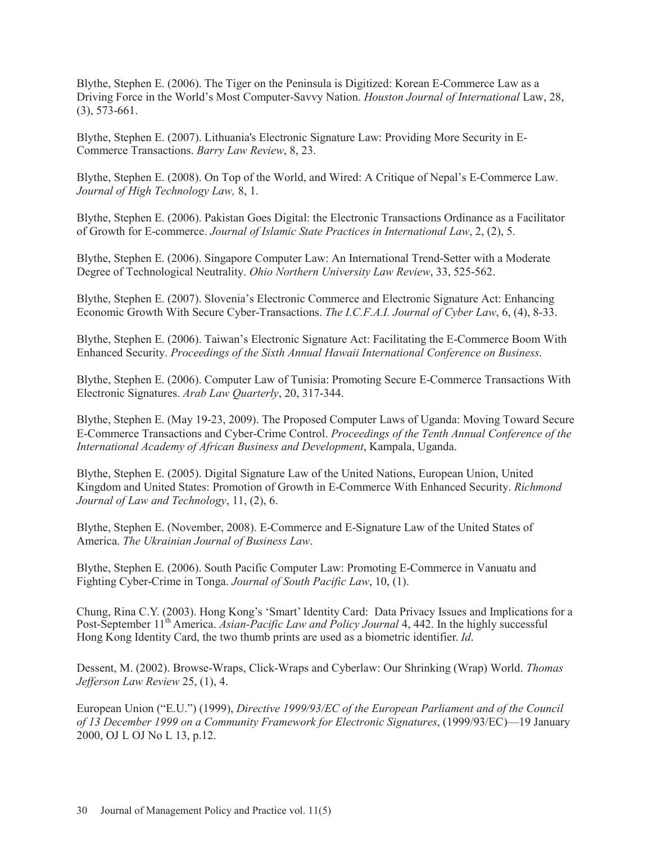Blythe, Stephen E. (2006). The Tiger on the Peninsula is Digitized: Korean E-Commerce Law as a Driving Force in the World's Most Computer-Savvy Nation. *Houston Journal of International* Law, 28, (3), 573-661.

Blythe, Stephen E. (2007). Lithuania's Electronic Signature Law: Providing More Security in E-Commerce Transactions. *Barry Law Review*, 8, 23.

Blythe, Stephen E. (2008). On Top of the World, and Wired: A Critique of Nepal's E-Commerce Law. *Journal of High Technology Law,* 8, 1.

Blythe, Stephen E. (2006). Pakistan Goes Digital: the Electronic Transactions Ordinance as a Facilitator of Growth for E-commerce. *Journal of Islamic State Practices in International Law*, 2, (2), 5.

Blythe, Stephen E. (2006). Singapore Computer Law: An International Trend-Setter with a Moderate Degree of Technological Neutrality. *Ohio Northern University Law Review*, 33, 525-562.

Blythe, Stephen E. (2007). Slovenia's Electronic Commerce and Electronic Signature Act: Enhancing Economic Growth With Secure Cyber-Transactions. *The I.C.F.A.I. Journal of Cyber Law*, 6, (4), 8-33.

Blythe, Stephen E. (2006). Taiwan's Electronic Signature Act: Facilitating the E-Commerce Boom With Enhanced Security. *Proceedings of the Sixth Annual Hawaii International Conference on Business*.

Blythe, Stephen E. (2006). Computer Law of Tunisia: Promoting Secure E-Commerce Transactions With Electronic Signatures. *Arab Law Quarterly*, 20, 317-344.

Blythe, Stephen E. (May 19-23, 2009). The Proposed Computer Laws of Uganda: Moving Toward Secure E-Commerce Transactions and Cyber-Crime Control. *Proceedings of the Tenth Annual Conference of the International Academy of African Business and Development*, Kampala, Uganda.

Blythe, Stephen E. (2005). Digital Signature Law of the United Nations, European Union, United Kingdom and United States: Promotion of Growth in E-Commerce With Enhanced Security. *Richmond Journal of Law and Technology*, 11, (2), 6.

Blythe, Stephen E. (November, 2008). E-Commerce and E-Signature Law of the United States of America. *The Ukrainian Journal of Business Law*.

Blythe, Stephen E. (2006). South Pacific Computer Law: Promoting E-Commerce in Vanuatu and Fighting Cyber-Crime in Tonga. *Journal of South Pacific Law*, 10, (1).

Chung, Rina C.Y. (2003). Hong Kong's 'Smart' Identity Card: Data Privacy Issues and Implications for a Post-September 11<sup>th</sup> America. *Asian-Pacific Law and Policy Journal* 4, 442. In the highly successful Hong Kong Identity Card, the two thumb prints are used as a biometric identifier. *Id*.

Dessent, M. (2002). Browse-Wraps, Click-Wraps and Cyberlaw: Our Shrinking (Wrap) World. *Thomas Jefferson Law Review* 25, (1), 4.

European Union ("E.U.") (1999), *Directive 1999/93/EC of the European Parliament and of the Council of 13 December 1999 on a Community Framework for Electronic Signatures*, (1999/93/EC)—19 January 2000, OJ L OJ No L 13, p.12.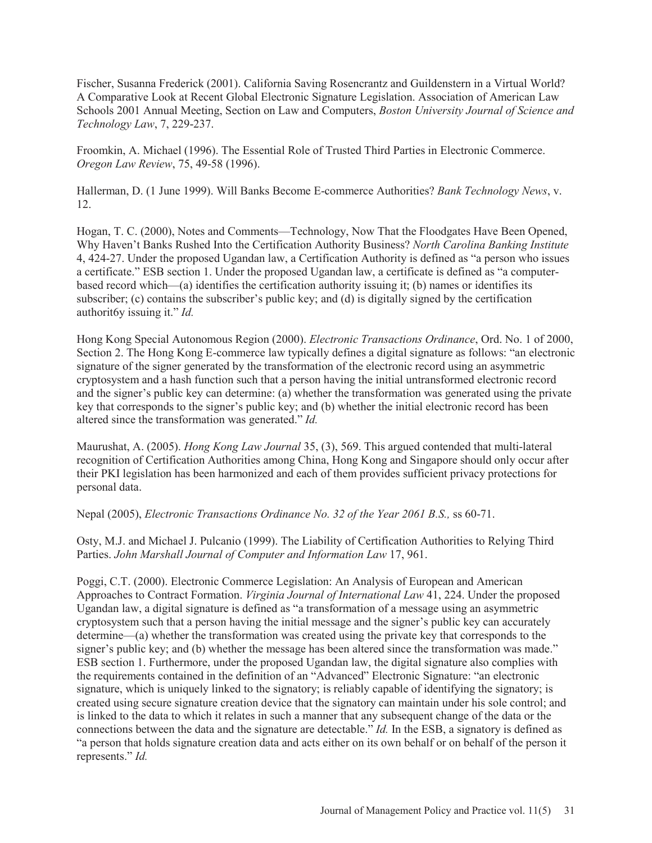Fischer, Susanna Frederick (2001). California Saving Rosencrantz and Guildenstern in a Virtual World? A Comparative Look at Recent Global Electronic Signature Legislation. Association of American Law Schools 2001 Annual Meeting, Section on Law and Computers, *Boston University Journal of Science and Technology Law*, 7, 229-237.

Froomkin, A. Michael (1996). The Essential Role of Trusted Third Parties in Electronic Commerce. *Oregon Law Review*, 75, 49-58 (1996).

Hallerman, D. (1 June 1999). Will Banks Become E-commerce Authorities? *Bank Technology News*, v. 12.

Hogan, T. C. (2000), Notes and Comments—Technology, Now That the Floodgates Have Been Opened, Why Haven't Banks Rushed Into the Certification Authority Business? *North Carolina Banking Institute* 4, 424-27. Under the proposed Ugandan law, a Certification Authority is defined as "a person who issues a certificate." ESB section 1. Under the proposed Ugandan law, a certificate is defined as "a computerbased record which—(a) identifies the certification authority issuing it; (b) names or identifies its subscriber; (c) contains the subscriber's public key; and (d) is digitally signed by the certification authorit6y issuing it." *Id.*

Hong Kong Special Autonomous Region (2000). *Electronic Transactions Ordinance*, Ord. No. 1 of 2000, Section 2. The Hong Kong E-commerce law typically defines a digital signature as follows: "an electronic signature of the signer generated by the transformation of the electronic record using an asymmetric cryptosystem and a hash function such that a person having the initial untransformed electronic record and the signer's public key can determine: (a) whether the transformation was generated using the private key that corresponds to the signer's public key; and (b) whether the initial electronic record has been altered since the transformation was generated." *Id.*

Maurushat, A. (2005). *Hong Kong Law Journal* 35, (3), 569. This argued contended that multi-lateral recognition of Certification Authorities among China, Hong Kong and Singapore should only occur after their PKI legislation has been harmonized and each of them provides sufficient privacy protections for personal data.

Nepal (2005), *Electronic Transactions Ordinance No. 32 of the Year 2061 B.S.,* ss 60-71.

Osty, M.J. and Michael J. Pulcanio (1999). The Liability of Certification Authorities to Relying Third Parties. *John Marshall Journal of Computer and Information Law* 17, 961.

Poggi, C.T. (2000). Electronic Commerce Legislation: An Analysis of European and American Approaches to Contract Formation. *Virginia Journal of International Law* 41, 224. Under the proposed Ugandan law, a digital signature is defined as "a transformation of a message using an asymmetric cryptosystem such that a person having the initial message and the signer's public key can accurately determine—(a) whether the transformation was created using the private key that corresponds to the signer's public key; and (b) whether the message has been altered since the transformation was made." ESB section 1. Furthermore, under the proposed Ugandan law, the digital signature also complies with the requirements contained in the definition of an "Advanced" Electronic Signature: "an electronic signature, which is uniquely linked to the signatory; is reliably capable of identifying the signatory; is created using secure signature creation device that the signatory can maintain under his sole control; and is linked to the data to which it relates in such a manner that any subsequent change of the data or the connections between the data and the signature are detectable." *Id.* In the ESB, a signatory is defined as "a person that holds signature creation data and acts either on its own behalf or on behalf of the person it represents." *Id.*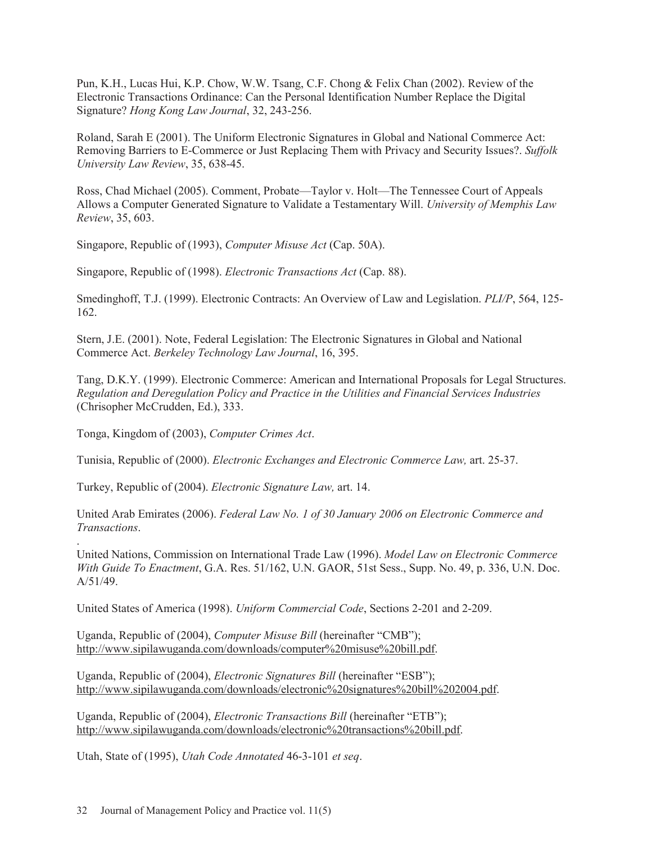Pun, K.H., Lucas Hui, K.P. Chow, W.W. Tsang, C.F. Chong & Felix Chan (2002). Review of the Electronic Transactions Ordinance: Can the Personal Identification Number Replace the Digital Signature? *Hong Kong Law Journal*, 32, 243-256.

Roland, Sarah E (2001). The Uniform Electronic Signatures in Global and National Commerce Act: Removing Barriers to E-Commerce or Just Replacing Them with Privacy and Security Issues?. *Suffolk University Law Review*, 35, 638-45.

Ross, Chad Michael (2005). Comment, Probate—Taylor v. Holt—The Tennessee Court of Appeals Allows a Computer Generated Signature to Validate a Testamentary Will. *University of Memphis Law Review*, 35, 603.

Singapore, Republic of (1993), *Computer Misuse Act* (Cap. 50A).

Singapore, Republic of (1998). *Electronic Transactions Act* (Cap. 88).

Smedinghoff, T.J. (1999). Electronic Contracts: An Overview of Law and Legislation. *PLI/P*, 564, 125- 162.

Stern, J.E. (2001). Note, Federal Legislation: The Electronic Signatures in Global and National Commerce Act. *Berkeley Technology Law Journal*, 16, 395.

Tang, D.K.Y. (1999). Electronic Commerce: American and International Proposals for Legal Structures. *Regulation and Deregulation Policy and Practice in the Utilities and Financial Services Industries* (Chrisopher McCrudden, Ed.), 333.

Tonga, Kingdom of (2003), *Computer Crimes Act*.

Tunisia, Republic of (2000). *Electronic Exchanges and Electronic Commerce Law,* art. 25-37.

Turkey, Republic of (2004). *Electronic Signature Law,* art. 14.

United Arab Emirates (2006). *Federal Law No. 1 of 30 January 2006 on Electronic Commerce and Transactions*.

. United Nations, Commission on International Trade Law (1996). *Model Law on Electronic Commerce With Guide To Enactment*, G.A. Res. 51/162, U.N. GAOR, 51st Sess., Supp. No. 49, p. 336, U.N. Doc. A/51/49.

United States of America (1998). *Uniform Commercial Code*, Sections 2-201 and 2-209.

Uganda, Republic of (2004), *Computer Misuse Bill* (hereinafter "CMB"); http://www.sipilawuganda.com/downloads/computer%20misuse%20bill.pdf.

Uganda, Republic of (2004), *Electronic Signatures Bill* (hereinafter "ESB"); http://www.sipilawuganda.com/downloads/electronic%20signatures%20bill%202004.pdf.

Uganda, Republic of (2004), *Electronic Transactions Bill* (hereinafter "ETB"); http://www.sipilawuganda.com/downloads/electronic%20transactions%20bill.pdf.

Utah, State of (1995), *Utah Code Annotated* 46-3-101 *et seq*.